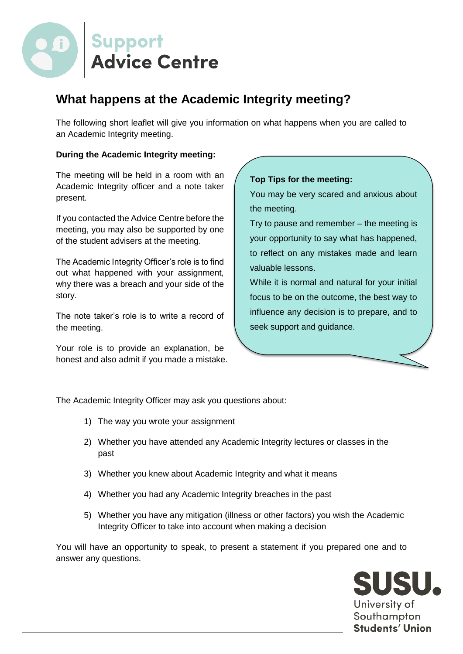

## **What happens at the Academic Integrity meeting?**

The following short leaflet will give you information on what happens when you are called to an Academic Integrity meeting.

## **During the Academic Integrity meeting:**

The meeting will be held in a room with an Academic Integrity officer and a note taker present.

If you contacted the Advice Centre before the meeting, you may also be supported by one of the student advisers at the meeting.

The Academic Integrity Officer's role is to find out what happened with your assignment, why there was a breach and your side of the story.

The note taker's role is to write a record of the meeting.

Your role is to provide an explanation, be honest and also admit if you made a mistake.

## **Top Tips for the meeting:**

You may be very scared and anxious about the meeting.

Try to pause and remember – the meeting is your opportunity to say what has happened, to reflect on any mistakes made and learn valuable lessons.

While it is normal and natural for your initial focus to be on the outcome, the best way to influence any decision is to prepare, and to seek support and guidance.

The Academic Integrity Officer may ask you questions about:

- 1) The way you wrote your assignment
- 2) Whether you have attended any Academic Integrity lectures or classes in the past
- 3) Whether you knew about Academic Integrity and what it means
- 4) Whether you had any Academic Integrity breaches in the past
- 5) Whether you have any mitigation (illness or other factors) you wish the Academic Integrity Officer to take into account when making a decision

You will have an opportunity to speak, to present a statement if you prepared one and to answer any questions.

> SUSU. University of Southampton Students' Union